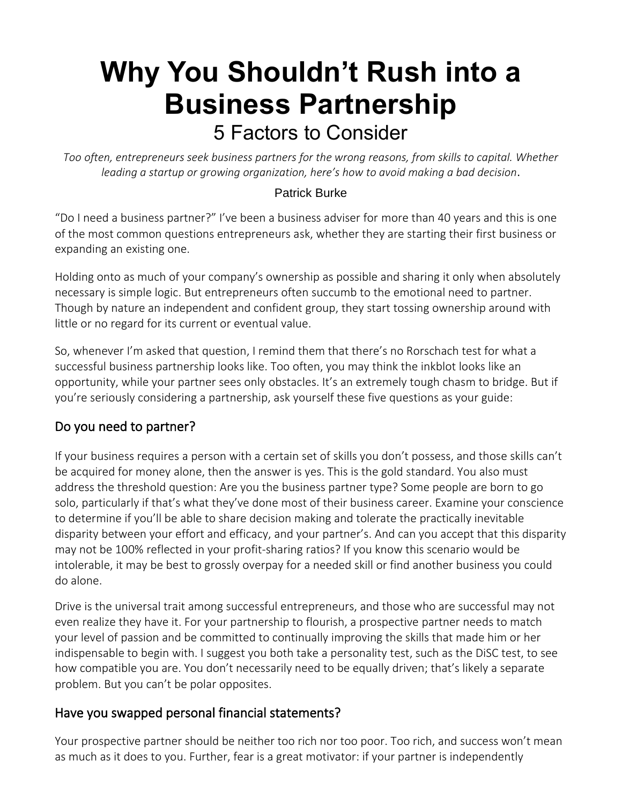# **Why You [Shouldn't](https://www.thoughtleadersllc.com/2021/08/why-you-shouldnt-rush-into-a-business-partnership/) Rush into a Business [Partnership](https://www.thoughtleadersllc.com/2021/08/why-you-shouldnt-rush-into-a-business-partnership/)** 5 Factors to Consider

*Too often, entrepreneurs seek business partners for the wrong reasons, from skills to capital. Whether leading a startup or growing organization, here's how to avoid making a bad decision*.

#### [Patrick](https://burkecpa.com/) Burke

"Do I need a business partner?" I've been a business adviser for more than 40 years and this is one of the most common questions entrepreneurs ask, whether they are starting their first business or expanding an existing one.

Holding onto as much of your company's ownership as possible and sharing it only when absolutely necessary is simple logic. But entrepreneurs often succumb to the emotional need to partner. Though by nature an independent and confident group, they start tossing ownership around with little or no regard for its current or eventual value.

So, whenever I'm asked that question, I remind them that there's no Rorschach test for what a successful business partnership looks like. Too often, you may think the inkblot looks like an opportunity, while your partner sees only obstacles. It's an extremely tough chasm to bridge. But if you're seriously considering a partnership, ask yourself these five questions as your guide:

#### Do you need to partner?

If your business requires a person with a certain set of skills you don't possess, and those skills can't be acquired for money alone, then the answer is yes. This is the gold standard. You also must address the threshold question: Are you the business partner type? Some people are born to go solo, particularly if that's what they've done most of their business career. Examine your conscience to determine if you'll be able to share decision making and tolerate the practically inevitable disparity between your effort and efficacy, and your partner's. And can you accept that this disparity may not be 100% reflected in your profit-sharing ratios? If you know this scenario would be intolerable, it may be best to grossly overpay for a needed skill or find another business you could do alone.

Drive is the universal trait among successful entrepreneurs, and those who are successful may not even realize they have it. For your partnership to flourish, a prospective partner needs to match your level of passion and be committed to continually improving the skills that made him or her indispensable to begin with. I suggest you both take a personality test, such as the DiSC test, to see how compatible you are. You don't necessarily need to be equally driven; that's likely a separate problem. But you can't be polar opposites.

#### Have you swapped personal financial statements?

Your prospective partner should be neither too rich nor too poor. Too rich, and success won't mean as much as it does to you. Further, fear is a great motivator: if your partner is independently